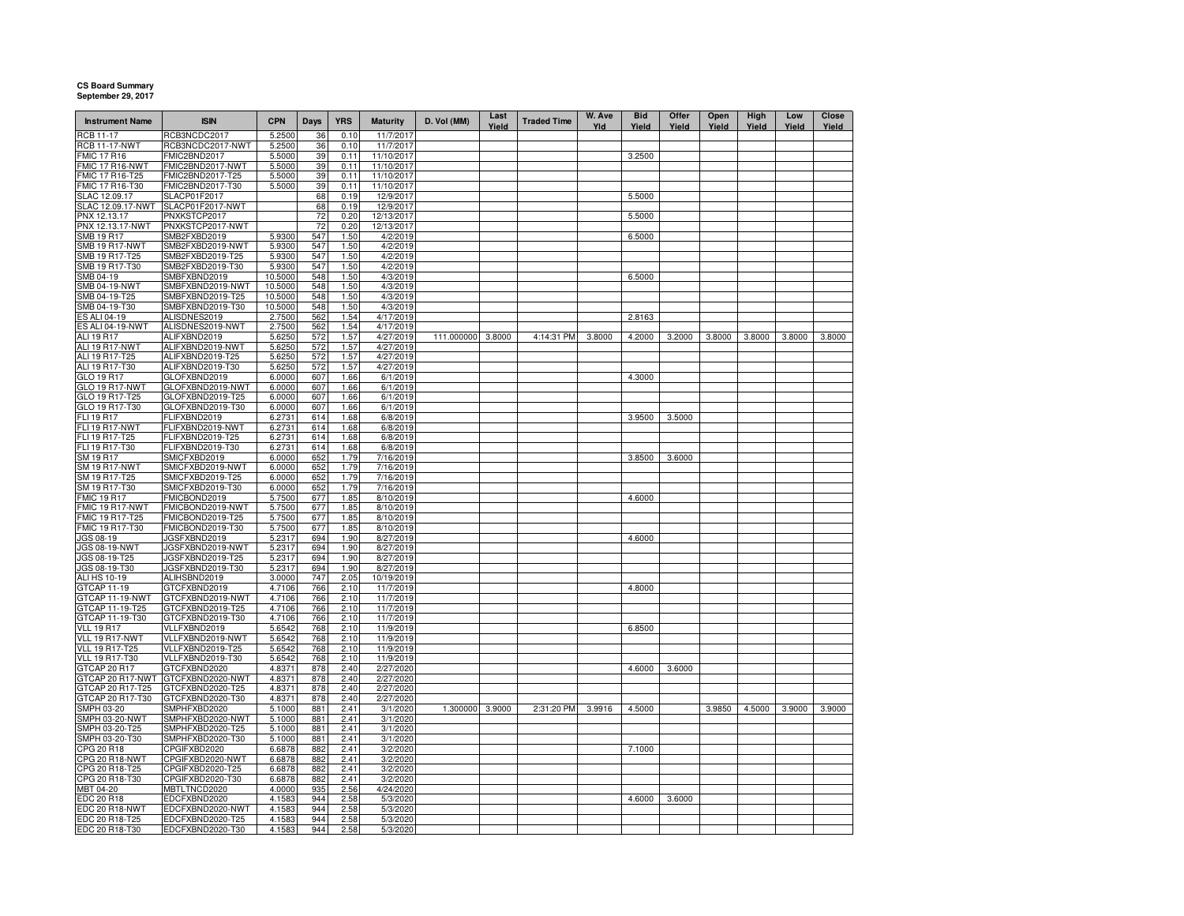## **CS Board Summary September 29, 2017**

| <b>Instrument Name</b>            | <b>ISIN</b>                      | <b>CPN</b>       | Days       | <b>YRS</b>   | <b>Maturity</b>         | D. Vol (MM)     | Last<br>Yield | <b>Traded Time</b> | W. Ave<br>Yld | <b>Bid</b><br>Yield | Offer<br>Yield | Open<br>Yield | High<br>Yield | Low<br>Yield | Close<br>Yield |
|-----------------------------------|----------------------------------|------------------|------------|--------------|-------------------------|-----------------|---------------|--------------------|---------------|---------------------|----------------|---------------|---------------|--------------|----------------|
| <b>RCB 11-17</b>                  | RCB3NCDC2017                     | 5.2500           | 36         | 0.10         | 11/7/2017               |                 |               |                    |               |                     |                |               |               |              |                |
| <b>RCB 11-17-NWT</b>              | RCB3NCDC2017-NWT                 | 5.2500           | 36         | 0.10         | 11/7/2017               |                 |               |                    |               |                     |                |               |               |              |                |
| MIC 17 R16                        | FMIC2BND2017                     | 5.5000           | 39         | 0.11         | 11/10/2017              |                 |               |                    |               | 3.2500              |                |               |               |              |                |
| MIC 17 R16-NWT                    | FMIC2BND2017-NWT                 | 5.5000           | 39         | 0.11         | 11/10/2017              |                 |               |                    |               |                     |                |               |               |              |                |
| FMIC 17 R16-T25                   | FMIC2BND2017-T25                 | 5.5000           | 39         | 0.11         | 11/10/2017              |                 |               |                    |               |                     |                |               |               |              |                |
| FMIC 17 R16-T30                   | FMIC2BND2017-T30                 | 5.5000           | 39         | 0.11         | 11/10/2017              |                 |               |                    |               |                     |                |               |               |              |                |
| SLAC 12.09.17                     | SLACP01F2017                     |                  | 68         | 0.19         | 12/9/2017               |                 |               |                    |               | 5.5000              |                |               |               |              |                |
| SLAC 12.09.17-NWT<br>PNX 12.13.17 | SLACP01F2017-NWT<br>PNXKSTCP2017 |                  | 68<br>72   | 0.19<br>0.20 | 12/9/2017<br>12/13/2017 |                 |               |                    |               |                     |                |               |               |              |                |
| PNX 12.13.17-NWT                  | PNXKSTCP2017-NWT                 |                  | 72         | 0.20         | 12/13/2017              |                 |               |                    |               | 5.5000              |                |               |               |              |                |
| <b>SMB 19 R17</b>                 | SMB2FXBD2019                     | 5.9300           | 547        | 1.50         | 4/2/2019                |                 |               |                    |               | 6.5000              |                |               |               |              |                |
| <b>SMB 19 R17-NWT</b>             | SMB2FXBD2019-NWT                 | 5.9300           | 547        | 1.50         | 4/2/2019                |                 |               |                    |               |                     |                |               |               |              |                |
| SMB 19 R17-T25                    | SMB2FXBD2019-T25                 | 5.9300           | 547        | 1.50         | 4/2/2019                |                 |               |                    |               |                     |                |               |               |              |                |
| SMB 19 R17-T30                    | SMB2FXBD2019-T30                 | 5.9300           | 547        | 1.50         | 4/2/2019                |                 |               |                    |               |                     |                |               |               |              |                |
| SMB 04-19                         | SMBFXBND2019                     | 10.5000          | 548        | 1.50         | 4/3/2019                |                 |               |                    |               | 6.5000              |                |               |               |              |                |
| <b>SMB 04-19-NWT</b>              | SMBFXBND2019-NWT                 | 10.5000          | 548        | 1.50         | 4/3/2019                |                 |               |                    |               |                     |                |               |               |              |                |
| SMB 04-19-T25                     | SMBFXBND2019-T25                 | 10.5000          | 548        | 1.50         | 4/3/2019                |                 |               |                    |               |                     |                |               |               |              |                |
| SMB 04-19-T30                     | SMBFXBND2019-T30                 | 10.5000          | 548        | 1.50         | 4/3/2019                |                 |               |                    |               |                     |                |               |               |              |                |
| ES ALI 04-19                      | ALISDNES2019                     | 2.7500           | 562        | 1.54         | 4/17/2019               |                 |               |                    |               | 2.8163              |                |               |               |              |                |
| ES ALI 04-19-NWT                  | ALISDNES2019-NWT                 | 2.7500           | 562        | 1.54         | 4/17/2019               |                 |               |                    |               |                     |                |               |               |              |                |
| ALI 19 R17                        | ALIFXBND2019                     | 5.6250           | 572        | 1.57         | 4/27/2019               | 111.000000      | 3.8000        | 4:14:31 PM         | 3.8000        | 4.2000              | 3.2000         | 3.8000        | 3.8000        | 3.8000       | 3.8000         |
| ALI 19 R17-NWT                    | ALIFXBND2019-NWT                 | 5.6250           | 572        | 1.57         | 4/27/2019               |                 |               |                    |               |                     |                |               |               |              |                |
| ALI 19 R17-T25                    | ALIFXBND2019-T25                 | 5.6250           | 572        | 1.57         | 4/27/2019               |                 |               |                    |               |                     |                |               |               |              |                |
| ALI 19 R17-T30                    | ALIFXBND2019-T30                 | 5.6250           | 572        | 1.57         | 4/27/2019               |                 |               |                    |               |                     |                |               |               |              |                |
| GLO 19 R17                        | GLOFXBND2019                     | 6.0000           | 607        | 1.66         | 6/1/2019                |                 |               |                    |               | 4.3000              |                |               |               |              |                |
| <b>GLO 19 R17-NWT</b>             | GLOFXBND2019-NWT                 | 6.0000           | 607        | 1.66         | 6/1/2019                |                 |               |                    |               |                     |                |               |               |              |                |
| GLO 19 R17-T25                    | GLOFXBND2019-T25                 | 6.0000           | 607        | 1.66         | 6/1/2019                |                 |               |                    |               |                     |                |               |               |              |                |
| GLO 19 R17-T30                    | GLOFXBND2019-T30                 | 6.0000           | 607        | 1.66         | 6/1/2019                |                 |               |                    |               |                     |                |               |               |              |                |
| FLI 19 R17                        | FLIFXBND2019                     | 6.2731           | 614        | 1.68         | 6/8/2019                |                 |               |                    |               | 3.9500              | 3.5000         |               |               |              |                |
| <b>FLI 19 R17-NWT</b>             | FLIFXBND2019-NWT                 | 6.2731           | 614        | 1.68         | 6/8/2019                |                 |               |                    |               |                     |                |               |               |              |                |
| FLI 19 R17-T25                    | FLIFXBND2019-T25                 | 6.2731           | 614        | 1.68         | 6/8/2019                |                 |               |                    |               |                     |                |               |               |              |                |
| FLI 19 R17-T30                    | FLIFXBND2019-T30                 | 6.2731           | 614        | 1.68         | 6/8/2019                |                 |               |                    |               |                     |                |               |               |              |                |
| SM 19 R17                         | SMICFXBD2019                     | 6.0000           | 652        | 1.79         | 7/16/2019               |                 |               |                    |               | 3.8500              | 3.6000         |               |               |              |                |
| <b>SM 19 R17-NWT</b>              | SMICFXBD2019-NWT                 | 6.0000           | 652        | 1.79         | 7/16/2019               |                 |               |                    |               |                     |                |               |               |              |                |
| SM 19 R17-T25                     | SMICFXBD2019-T25                 | 6.0000           | 652        | 1.79         | 7/16/2019               |                 |               |                    |               |                     |                |               |               |              |                |
| SM 19 R17-T30                     | SMICFXBD2019-T30                 | 6.0000           | 652        | 1.79         | 7/16/2019               |                 |               |                    |               |                     |                |               |               |              |                |
| <b>FMIC 19 R17</b>                | FMICBOND2019                     | 5.7500           | 677        | 1.85         | 8/10/2019               |                 |               |                    |               | 4.6000              |                |               |               |              |                |
| FMIC 19 R17-NWT                   | FMICBOND2019-NWT                 | 5.7500           | 677        | 1.85         | 8/10/2019               |                 |               |                    |               |                     |                |               |               |              |                |
| <b>FMIC 19 R17-T25</b>            | FMICBOND2019-T25                 | 5.7500           | 677        | 1.85         | 8/10/2019               |                 |               |                    |               |                     |                |               |               |              |                |
| FMIC 19 R17-T30<br>JGS 08-19      | FMICBOND2019-T30<br>JGSFXBND2019 | 5.7500<br>5.2317 | 677<br>694 | 1.85<br>1.90 | 8/10/2019<br>8/27/2019  |                 |               |                    |               | 4.6000              |                |               |               |              |                |
| <b>JGS 08-19-NWT</b>              | JGSFXBND2019-NWT                 | 5.2317           | 694        | 1.90         | 8/27/2019               |                 |               |                    |               |                     |                |               |               |              |                |
| JGS 08-19-T25                     | JGSFXBND2019-T25                 | 5.2317           | 694        | 1.90         | 8/27/2019               |                 |               |                    |               |                     |                |               |               |              |                |
| JGS 08-19-T30                     | JGSFXBND2019-T30                 | 5.2317           | 694        | 1.90         | 8/27/2019               |                 |               |                    |               |                     |                |               |               |              |                |
| <b>ALI HS 10-19</b>               | ALIHSBND2019                     | 3.0000           | 747        | 2.05         | 10/19/2019              |                 |               |                    |               |                     |                |               |               |              |                |
| GTCAP 11-19                       | GTCFXBND2019                     | 4.7106           | 766        | 2.10         | 11/7/2019               |                 |               |                    |               | 4.8000              |                |               |               |              |                |
| GTCAP 11-19-NWT                   | GTCFXBND2019-NWT                 | 4.7106           | 766        | 2.10         | 11/7/2019               |                 |               |                    |               |                     |                |               |               |              |                |
| GTCAP 11-19-T25                   | GTCFXBND2019-T25                 | 4.7106           | 766        | 2.10         | 11/7/2019               |                 |               |                    |               |                     |                |               |               |              |                |
| GTCAP 11-19-T30                   | GTCFXBND2019-T30                 | 4.7106           | 766        | 2.10         | 11/7/2019               |                 |               |                    |               |                     |                |               |               |              |                |
| <b>VLL 19 R17</b>                 | VLLFXBND2019                     | 5.6542           | 768        | 2.10         | 11/9/2019               |                 |               |                    |               | 6.8500              |                |               |               |              |                |
| VLL 19 R17-NWT                    | VLLFXBND2019-NWT                 | 5.6542           | 768        | 2.10         | 11/9/2019               |                 |               |                    |               |                     |                |               |               |              |                |
| <b>VLL 19 R17-T25</b>             | VLLFXBND2019-T25                 | 5.6542           | 768        | 2.10         | 11/9/2019               |                 |               |                    |               |                     |                |               |               |              |                |
| VLL 19 R17-T30                    | VLLFXBND2019-T30                 | 5.6542           | 768        | 2.10         | 11/9/2019               |                 |               |                    |               |                     |                |               |               |              |                |
| GTCAP 20 R17                      | GTCFXBND2020                     | 4.8371           | 878        | 2.40         | 2/27/2020               |                 |               |                    |               | 4.6000              | 3.6000         |               |               |              |                |
| GTCAP 20 R17-NWT                  | GTCFXBND2020-NWT                 | 4.8371           | 878        | 2.40         | 2/27/2020               |                 |               |                    |               |                     |                |               |               |              |                |
| GTCAP 20 R17-T25                  | GTCFXBND2020-T25                 | 4.8371           | 878        | 2.40         | 2/27/2020               |                 |               |                    |               |                     |                |               |               |              |                |
| GTCAP 20 R17-T30                  | GTCFXBND2020-T30                 | 4.8371           | 878        | 2.40         | 2/27/2020               |                 |               |                    |               |                     |                |               |               |              |                |
| SMPH 03-20                        | SMPHFXBD2020                     | 5.1000           | 881        | 2.41         | 3/1/2020                | 1.300000 3.9000 |               | 2:31:20 PM         | 3.9916        | 4.5000              |                | 3.9850        | 4.5000        | 3.9000       | 3.9000         |
| SMPH 03-20-NWT                    | SMPHFXBD2020-NWT                 | 5.1000           | 881        | 2.41         | 3/1/2020                |                 |               |                    |               |                     |                |               |               |              |                |
| SMPH 03-20-T25                    | SMPHFXBD2020-T25                 | 5.1000           | 881        | 2.41         | 3/1/2020                |                 |               |                    |               |                     |                |               |               |              |                |
| SMPH 03-20-T30                    | SMPHFXBD2020-T30                 | 5.1000           | 881        | 2.41         | 3/1/2020                |                 |               |                    |               |                     |                |               |               |              |                |
| CPG 20 R18                        | CPGIFXBD2020                     | 6.6878           | 882        | 2.41         | 3/2/2020                |                 |               |                    |               | 7.1000              |                |               |               |              |                |
| CPG 20 R18-NWT                    | CPGIFXBD2020-NWT                 | 6.6878           | 882        | 2.41         | 3/2/2020                |                 |               |                    |               |                     |                |               |               |              |                |
| CPG 20 R18-T25                    | CPGIFXBD2020-T25                 | 6.6878           | 882        | 2.41         | 3/2/2020                |                 |               |                    |               |                     |                |               |               |              |                |
| CPG 20 R18-T30                    | CPGIFXBD2020-T30                 | 6.6878           | 882        | 2.41         | 3/2/2020                |                 |               |                    |               |                     |                |               |               |              |                |
| MBT 04-20<br><b>EDC 20 R18</b>    | MBTLTNCD2020<br>EDCFXBND2020     | 4.0000<br>4.1583 | 935<br>944 | 2.56<br>2.58 | 4/24/2020<br>5/3/2020   |                 |               |                    |               | 4.6000              | 3.6000         |               |               |              |                |
| EDC 20 R18-NWT                    | EDCFXBND2020-NWT                 | 4.1583           | 944        | 2.58         | 5/3/2020                |                 |               |                    |               |                     |                |               |               |              |                |
| EDC 20 R18-T25                    | EDCFXBND2020-T25                 | 4.1583           | 944        | 2.58         | 5/3/2020                |                 |               |                    |               |                     |                |               |               |              |                |
| EDC 20 R18-T30                    | EDCFXBND2020-T30                 | 4.1583           | 944        | 2.58         | 5/3/2020                |                 |               |                    |               |                     |                |               |               |              |                |
|                                   |                                  |                  |            |              |                         |                 |               |                    |               |                     |                |               |               |              |                |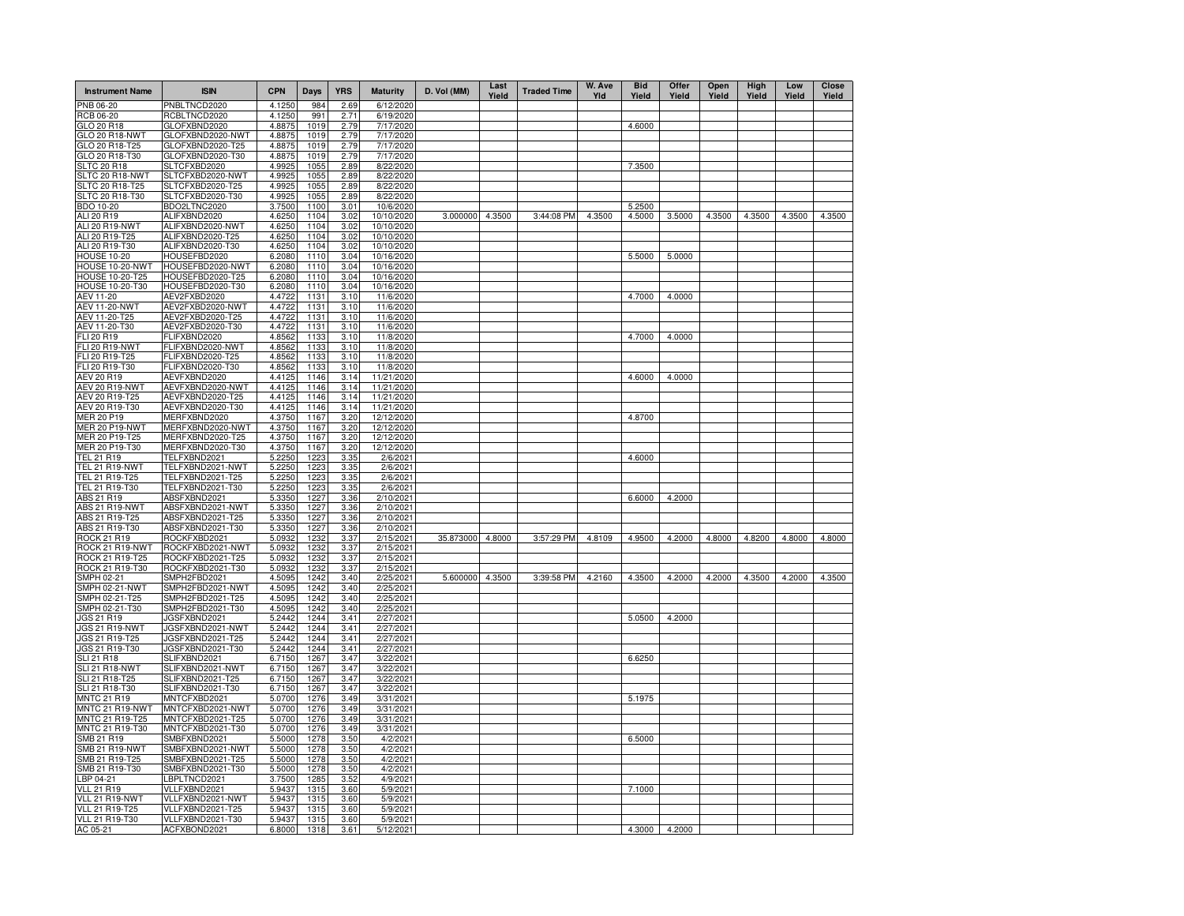| <b>Instrument Name</b>           | <b>ISIN</b>                          | <b>CPN</b>       | <b>Days</b>  | <b>YRS</b>   | <b>Maturity</b>          | D. Vol (MM)      | Last<br>Yield | <b>Traded Time</b> | W. Ave<br>Yld | <b>Bid</b><br>Yield | Offer<br>Yield | Open<br>Yield | High<br>Yield | Low<br>Yield | <b>Close</b><br>Yield |
|----------------------------------|--------------------------------------|------------------|--------------|--------------|--------------------------|------------------|---------------|--------------------|---------------|---------------------|----------------|---------------|---------------|--------------|-----------------------|
| PNB 06-20                        | PNBLTNCD2020                         | 4.1250           | 984          | 2.69         | 6/12/2020                |                  |               |                    |               |                     |                |               |               |              |                       |
| RCB 06-20                        | RCBLTNCD2020                         | 4.1250           | 991          | 2.71         | 6/19/2020                |                  |               |                    |               |                     |                |               |               |              |                       |
| GLO 20 R18                       | GLOFXBND2020                         | 4.8875           | 1019         | 2.79         | 7/17/2020                |                  |               |                    |               | 4.6000              |                |               |               |              |                       |
| GLO 20 R18-NWT                   | GLOFXBND2020-NWT                     | 4.8875           | 1019         | 2.79         | 7/17/2020                |                  |               |                    |               |                     |                |               |               |              |                       |
| GLO 20 R18-T25<br>GLO 20 R18-T30 | GLOFXBND2020-T25                     | 4.8875<br>4.8875 | 1019<br>1019 | 2.79<br>2.79 | 7/17/2020                |                  |               |                    |               |                     |                |               |               |              |                       |
| <b>SLTC 20 R18</b>               | GLOFXBND2020-T30<br>SLTCFXBD2020     | 4.9925           | 1055         | 2.89         | 7/17/2020<br>8/22/2020   |                  |               |                    |               | 7.3500              |                |               |               |              |                       |
| SLTC 20 R18-NWT                  | SLTCFXBD2020-NWT                     | 4.9925           | 1055         | 2.89         | 8/22/2020                |                  |               |                    |               |                     |                |               |               |              |                       |
| SLTC 20 R18-T25                  | SLTCFXBD2020-T25                     | 4.9925           | 1055         | 2.89         | 8/22/2020                |                  |               |                    |               |                     |                |               |               |              |                       |
| SLTC 20 R18-T30                  | SLTCFXBD2020-T30                     | 4.9925           | 1055         | 2.89         | 8/22/2020                |                  |               |                    |               |                     |                |               |               |              |                       |
| BDO 10-20                        | BDO2LTNC2020                         | 3.7500           | 1100         | 3.01         | 10/6/2020                |                  |               |                    |               | 5.2500              |                |               |               |              |                       |
| ALI 20 R19                       | ALIFXBND2020                         | 4.6250           | 1104         | 3.02         | 10/10/2020               | 3.000000         | 4.3500        | 3:44:08 PM         | 4.3500        | 4.5000              | 3.5000         | 4.3500        | 4.3500        | 4.3500       | 4.3500                |
| ALI 20 R19-NWT                   | ALIFXBND2020-NWT                     | 4.6250           | 1104         | 3.02         | 10/10/2020               |                  |               |                    |               |                     |                |               |               |              |                       |
| ALI 20 R19-T25<br>ALI 20 R19-T30 | ALIFXBND2020-T25<br>ALIFXBND2020-T30 | 4.6250<br>4.6250 | 1104<br>1104 | 3.02         | 10/10/2020<br>10/10/2020 |                  |               |                    |               |                     |                |               |               |              |                       |
| <b>HOUSE 10-20</b>               | HOUSEFBD2020                         | 6.2080           | 1110         | 3.02<br>3.04 | 10/16/2020               |                  |               |                    |               | 5.5000              | 5.0000         |               |               |              |                       |
| HOUSE 10-20-NWT                  | HOUSEFBD2020-NWT                     | 6.2080           | 1110         | 3.04         | 10/16/2020               |                  |               |                    |               |                     |                |               |               |              |                       |
| HOUSE 10-20-T25                  | HOUSEFBD2020-T25                     | 6.2080           | 1110         | 3.04         | 10/16/2020               |                  |               |                    |               |                     |                |               |               |              |                       |
| HOUSE 10-20-T30                  | HOUSEFBD2020-T30                     | 6.2080           | 1110         | 3.04         | 10/16/2020               |                  |               |                    |               |                     |                |               |               |              |                       |
| AEV 11-20                        | AEV2FXBD2020                         | 4.4722           | 1131         | 3.10         | 11/6/2020                |                  |               |                    |               | 4.7000              | 4.0000         |               |               |              |                       |
| <b>AEV 11-20-NWT</b>             | AEV2FXBD2020-NWT                     | 4.4722           | 1131         | 3.10         | 11/6/2020                |                  |               |                    |               |                     |                |               |               |              |                       |
| AEV 11-20-T25                    | AEV2FXBD2020-T25                     | 4.4722           | 1131         | 3.10         | 11/6/2020                |                  |               |                    |               |                     |                |               |               |              |                       |
| AEV 11-20-T30<br>FLI 20 R19      | AEV2FXBD2020-T30<br>FLIFXBND2020     | 4.4722           | 1131         | 3.10<br>3.10 | 11/6/2020                |                  |               |                    |               | 4.7000              | 4.0000         |               |               |              |                       |
| <b>FLI 20 R19-NWT</b>            | FLIFXBND2020-NWT                     | 4.8562<br>4.8562 | 1133<br>1133 | 3.10         | 11/8/2020<br>11/8/2020   |                  |               |                    |               |                     |                |               |               |              |                       |
| FLI 20 R19-T25                   | FLIFXBND2020-T25                     | 4.8562           | 1133         | 3.10         | 11/8/2020                |                  |               |                    |               |                     |                |               |               |              |                       |
| FLI 20 R19-T30                   | FLIFXBND2020-T30                     | 4.8562           | 1133         | 3.10         | 11/8/2020                |                  |               |                    |               |                     |                |               |               |              |                       |
| AEV 20 R19                       | AEVFXBND2020                         | 4.4125           | 1146         | 3.14         | 11/21/2020               |                  |               |                    |               | 4.6000              | 4.0000         |               |               |              |                       |
| <b>AEV 20 R19-NWT</b>            | AEVFXBND2020-NWT                     | 4.4125           | 1146         | 3.14         | 11/21/2020               |                  |               |                    |               |                     |                |               |               |              |                       |
| AEV 20 R19-T25                   | AEVFXBND2020-T25                     | 4.4125           | 1146         | 3.14         | 11/21/2020               |                  |               |                    |               |                     |                |               |               |              |                       |
| AEV 20 R19-T30                   | AEVFXBND2020-T30                     | 4.4125           | 1146         | 3.14         | 11/21/2020               |                  |               |                    |               |                     |                |               |               |              |                       |
| <b>MER 20 P19</b>                | MERFXBND2020                         | 4.3750           | 1167         | 3.20         | 12/12/2020               |                  |               |                    |               | 4.8700              |                |               |               |              |                       |
| MER 20 P19-NWT<br>MER 20 P19-T25 | MERFXBND2020-NWT<br>MERFXBND2020-T25 | 4.3750<br>4.3750 | 1167<br>1167 | 3.20<br>3.20 | 12/12/2020<br>12/12/2020 |                  |               |                    |               |                     |                |               |               |              |                       |
| MER 20 P19-T30                   | MERFXBND2020-T30                     | 4.3750           | 1167         | 3.20         | 12/12/2020               |                  |               |                    |               |                     |                |               |               |              |                       |
| TEL 21 R19                       | TELFXBND2021                         | 5.2250           | 1223         | 3.35         | 2/6/2021                 |                  |               |                    |               | 4.6000              |                |               |               |              |                       |
| <b>TEL 21 R19-NWT</b>            | TELFXBND2021-NWT                     | 5.2250           | 1223         | 3.35         | 2/6/2021                 |                  |               |                    |               |                     |                |               |               |              |                       |
| TEL 21 R19-T25                   | TELFXBND2021-T25                     | 5.2250           | 1223         | 3.35         | 2/6/2021                 |                  |               |                    |               |                     |                |               |               |              |                       |
| TEL 21 R19-T30                   | TELFXBND2021-T30                     | 5.2250           | 1223         | 3.35         | 2/6/2021                 |                  |               |                    |               |                     |                |               |               |              |                       |
| ABS 21 R19                       | ABSFXBND2021                         | 5.3350           | 1227         | 3.36         | 2/10/2021                |                  |               |                    |               | 6.6000              | 4.2000         |               |               |              |                       |
| ABS 21 R19-NWT                   | ABSFXBND2021-NWT<br>ABSFXBND2021-T25 | 5.3350           | 1227         | 3.36         | 2/10/2021                |                  |               |                    |               |                     |                |               |               |              |                       |
| ABS 21 R19-T25<br>ABS 21 R19-T30 | ABSFXBND2021-T30                     | 5.3350<br>5.3350 | 1227<br>1227 | 3.36<br>3.36 | 2/10/2021<br>2/10/2021   |                  |               |                    |               |                     |                |               |               |              |                       |
| ROCK 21 R19                      | ROCKFXBD2021                         | 5.0932           | 1232         | 3.37         | 2/15/2021                | 35.873000 4.8000 |               | 3:57:29 PM         | 4.8109        | 4.9500              | 4.2000         | 4.8000        | 4.8200        | 4.8000       | 4.8000                |
| ROCK 21 R19-NWT                  | ROCKFXBD2021-NWT                     | 5.0932           | 1232         | 3.37         | 2/15/2021                |                  |               |                    |               |                     |                |               |               |              |                       |
| ROCK 21 R19-T25                  | ROCKFXBD2021-T25                     | 5.0932           | 1232         | 3.37         | 2/15/2021                |                  |               |                    |               |                     |                |               |               |              |                       |
| ROCK 21 R19-T30                  | ROCKFXBD2021-T30                     | 5.0932           | 1232         | 3.37         | 2/15/2021                |                  |               |                    |               |                     |                |               |               |              |                       |
| SMPH 02-21                       | SMPH2FBD2021                         | 4.5095           | 1242         | 3.40         | 2/25/2021                | 5.600000 4.3500  |               | 3:39:58 PM         | 4.2160        | 4.3500              | 4.2000         | 4.2000        | 4.3500        | 4.2000       | 4.3500                |
| SMPH 02-21-NWT                   | SMPH2FBD2021-NWT                     | 4.5095           | 1242         | 3.40         | 2/25/2021                |                  |               |                    |               |                     |                |               |               |              |                       |
| SMPH 02-21-T25<br>SMPH 02-21-T30 | SMPH2FBD2021-T25<br>SMPH2FBD2021-T30 | 4.5095<br>4.5095 | 1242<br>1242 | 3.40<br>3.40 | 2/25/2021<br>2/25/2021   |                  |               |                    |               |                     |                |               |               |              |                       |
| JGS 21 R19                       | JGSFXBND2021                         | 5.2442           | 1244         | 3.41         | 2/27/2021                |                  |               |                    |               | 5.0500              | 4.2000         |               |               |              |                       |
| JGS 21 R19-NWT                   | JGSFXBND2021-NWT                     | 5.2442           | 1244         | 3.41         | 2/27/2021                |                  |               |                    |               |                     |                |               |               |              |                       |
| JGS 21 R19-T25                   | JGSFXBND2021-T25                     | 5.2442           | 1244         | 3.41         | 2/27/2021                |                  |               |                    |               |                     |                |               |               |              |                       |
| JGS 21 R19-T30                   | JGSFXBND2021-T30                     | 5.2442           | 1244         | 3.41         | 2/27/2021                |                  |               |                    |               |                     |                |               |               |              |                       |
| <b>SLI 21 R18</b>                | SLIFXBND2021                         | 6.7150           | 1267         | 3.47         | 3/22/2021                |                  |               |                    |               | 6.6250              |                |               |               |              |                       |
| SLI 21 R18-NWT                   | SLIFXBND2021-NWT                     | 6.7150           | 1267         | 3.47         | 3/22/2021                |                  |               |                    |               |                     |                |               |               |              |                       |
| SLI 21 R18-T25<br>SLI 21 R18-T30 | SLIFXBND2021-T25<br>SLIFXBND2021-T30 | 6.7150<br>6.7150 | 1267<br>1267 | 3.47<br>3.47 | 3/22/2021<br>3/22/2021   |                  |               |                    |               |                     |                |               |               |              |                       |
| <b>MNTC 21 R19</b>               | MNTCFXBD2021                         | 5.0700           | 1276         | 3.49         | 3/31/2021                |                  |               |                    |               | 5.1975              |                |               |               |              |                       |
| MNTC 21 R19-NWT                  | MNTCFXBD2021-NWT                     | 5.0700           | 1276         | 3.49         | 3/31/2021                |                  |               |                    |               |                     |                |               |               |              |                       |
| MNTC 21 R19-T25                  | MNTCFXBD2021-T25                     | 5.0700           | 1276         | 3.49         | 3/31/2021                |                  |               |                    |               |                     |                |               |               |              |                       |
| MNTC 21 R19-T30                  | MNTCFXBD2021-T30                     | 5.0700           | 1276         | 3.49         | 3/31/2021                |                  |               |                    |               |                     |                |               |               |              |                       |
| SMB 21 R19                       | SMBFXBND2021                         | 5.5000           | 1278         | 3.50         | 4/2/2021                 |                  |               |                    |               | 6.5000              |                |               |               |              |                       |
| SMB 21 R19-NWT                   | SMBFXBND2021-NWT                     | 5.5000           | 1278         | 3.50         | 4/2/2021                 |                  |               |                    |               |                     |                |               |               |              |                       |
| SMB 21 R19-T25                   | SMBFXBND2021-T25                     | 5.5000           | 1278         | 3.50         | 4/2/2021                 |                  |               |                    |               |                     |                |               |               |              |                       |
| SMB 21 R19-T30                   | SMBFXBND2021-T30                     | 5.5000           | 1278         | 3.50         | 4/2/2021                 |                  |               |                    |               |                     |                |               |               |              |                       |
| LBP 04-21<br><b>VLL 21 R19</b>   | LBPLTNCD2021<br>VLLFXBND2021         | 3.7500<br>5.9437 | 1285<br>1315 | 3.52<br>3.60 | 4/9/2021<br>5/9/2021     |                  |               |                    |               | 7.1000              |                |               |               |              |                       |
| VLL 21 R19-NWT                   | VLLFXBND2021-NWT                     | 5.9437           | 1315         | 3.60         | 5/9/2021                 |                  |               |                    |               |                     |                |               |               |              |                       |
| <b>VLL 21 R19-T25</b>            | VLLFXBND2021-T25                     | 5.9437           | 1315         | 3.60         | 5/9/2021                 |                  |               |                    |               |                     |                |               |               |              |                       |
| VLL 21 R19-T30                   | VLLFXBND2021-T30                     | 5.9437           | 1315         | 3.60         | 5/9/2021                 |                  |               |                    |               |                     |                |               |               |              |                       |
| AC 05-21                         | ACFXBOND2021                         | 6.8000           | 1318         | 3.61         | 5/12/2021                |                  |               |                    |               | 4.3000              | 4.2000         |               |               |              |                       |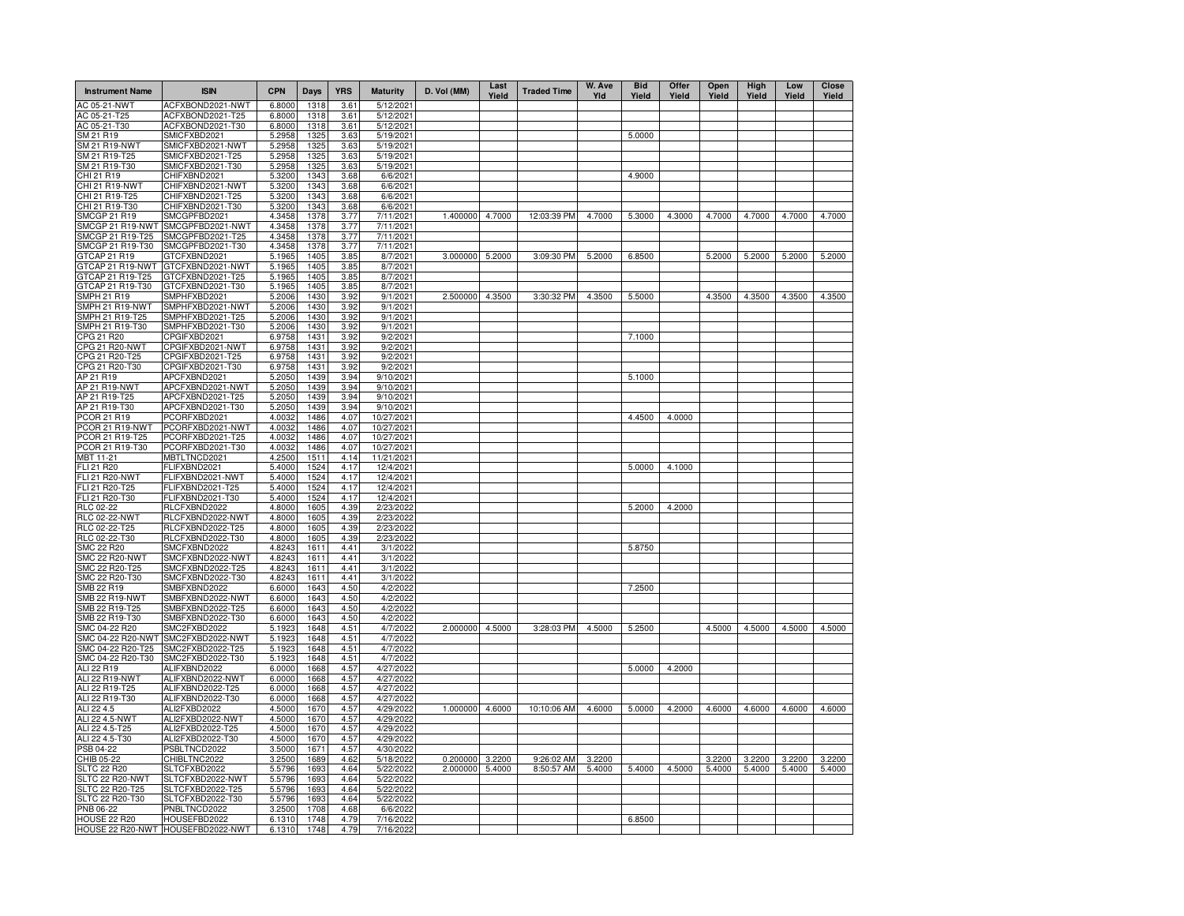| <b>Instrument Name</b>                | <b>ISIN</b>                          | <b>CPN</b>       | Days         | <b>YRS</b>   | <b>Maturity</b>          | D. Vol (MM) | Last<br>Yield | <b>Traded Time</b> | W. Ave<br>YId | <b>Bid</b><br>Yield | Offer<br>Yield | Open<br>Yield | High<br>Yield | Low<br>Yield | <b>Close</b><br>Yield |
|---------------------------------------|--------------------------------------|------------------|--------------|--------------|--------------------------|-------------|---------------|--------------------|---------------|---------------------|----------------|---------------|---------------|--------------|-----------------------|
| AC 05-21-NWT                          | ACFXBOND2021-NWT                     | 6.8000           | 1318         | 3.61         | 5/12/2021                |             |               |                    |               |                     |                |               |               |              |                       |
| AC 05-21-T25                          | ACFXBOND2021-T25                     | 6.8000           | 1318         | 3.61         | 5/12/2021                |             |               |                    |               |                     |                |               |               |              |                       |
| AC 05-21-T30                          | ACFXBOND2021-T30                     | 6.8000           | 1318         | 3.61         | 5/12/2021                |             |               |                    |               |                     |                |               |               |              |                       |
| SM 21 R19                             | SMICFXBD2021                         | 5.2958           | 1325         | 3.63         | 5/19/2021                |             |               |                    |               | 5.0000              |                |               |               |              |                       |
| <b>SM 21 R19-NWT</b><br>SM 21 R19-T25 | SMICFXBD2021-NWT<br>SMICFXBD2021-T25 | 5.2958<br>5.2958 | 1325<br>1325 | 3.63<br>3.63 | 5/19/2021<br>5/19/2021   |             |               |                    |               |                     |                |               |               |              |                       |
| SM 21 R19-T30                         | SMICFXBD2021-T30                     | 5.2958           | 1325         | 3.63         | 5/19/2021                |             |               |                    |               |                     |                |               |               |              |                       |
| CHI 21 R19                            | CHIFXBND2021                         | 5.3200           | 1343         | 3.68         | 6/6/2021                 |             |               |                    |               | 4.9000              |                |               |               |              |                       |
| CHI 21 R19-NWT                        | CHIFXBND2021-NWT                     | 5.3200           | 1343         | 3.68         | 6/6/2021                 |             |               |                    |               |                     |                |               |               |              |                       |
| CHI 21 R19-T25                        | CHIFXBND2021-T25                     | 5.3200           | 1343         | 3.68         | 6/6/2021                 |             |               |                    |               |                     |                |               |               |              |                       |
| CHI 21 R19-T30                        | CHIFXBND2021-T30                     | 5.3200           | 1343         | 3.68         | 6/6/2021                 |             |               |                    |               |                     |                |               |               |              |                       |
| <b>SMCGP 21 R19</b>                   | SMCGPFBD2021                         | 4.3458           | 1378         | 3.77         | 7/11/2021                | 1.400000    | 4.7000        | 12:03:39 PM        | 4.7000        | 5.3000              | 4.3000         | 4.7000        | 4.7000        | 4.7000       | 4.7000                |
| SMCGP 21 R19-NWT                      | SMCGPFBD2021-NWT                     | 4.3458           | 1378         | 3.77         | 7/11/2021                |             |               |                    |               |                     |                |               |               |              |                       |
| SMCGP 21 R19-T25                      | SMCGPFBD2021-T25                     | 4.3458           | 1378         | 3.77         | 7/11/2021                |             |               |                    |               |                     |                |               |               |              |                       |
| SMCGP 21 R19-T30                      | SMCGPFBD2021-T30                     | 4.3458           | 1378         | 3.77         | 7/11/2021                |             |               |                    |               |                     |                |               |               |              |                       |
| GTCAP 21 R19                          | GTCFXBND2021                         | 5.1965           | 1405         | 3.85         | 8/7/2021                 | 3.000000    | 5.2000        | 3:09:30 PM         | 5.2000        | 6.8500              |                | 5.2000        | 5.2000        | 5.2000       | 5.2000                |
| GTCAP 21 R19-NWT                      | GTCFXBND2021-NWT                     | 5.1965           | 1405         | 3.85         | 8/7/2021                 |             |               |                    |               |                     |                |               |               |              |                       |
| GTCAP 21 R19-T25<br>GTCAP 21 R19-T30  | GTCFXBND2021-T25<br>GTCFXBND2021-T30 | 5.1965<br>5.1965 | 1405<br>1405 | 3.85<br>3.85 | 8/7/2021<br>8/7/2021     |             |               |                    |               |                     |                |               |               |              |                       |
| <b>SMPH 21 R19</b>                    | SMPHFXBD2021                         | 5.2006           | 1430         | 3.92         | 9/1/2021                 | 2.500000    | 4.3500        | 3:30:32 PM         | 4.3500        | 5.5000              |                | 4.3500        | 4.3500        | 4.3500       | 4.3500                |
| SMPH 21 R19-NWT                       | SMPHFXBD2021-NWT                     | 5.2006           | 1430         | 3.92         | 9/1/2021                 |             |               |                    |               |                     |                |               |               |              |                       |
| SMPH 21 R19-T25                       | SMPHFXBD2021-T25                     | 5.2006           | 1430         | 3.92         | 9/1/2021                 |             |               |                    |               |                     |                |               |               |              |                       |
| SMPH 21 R19-T30                       | SMPHFXBD2021-T30                     | 5.2006           | 1430         | 3.92         | 9/1/2021                 |             |               |                    |               |                     |                |               |               |              |                       |
| CPG 21 R20                            | CPGIFXBD2021                         | 6.9758           | 1431         | 3.92         | 9/2/2021                 |             |               |                    |               | 7.1000              |                |               |               |              |                       |
| <b>CPG 21 R20-NWT</b>                 | CPGIFXBD2021-NWT                     | 6.9758           | 1431         | 3.92         | 9/2/2021                 |             |               |                    |               |                     |                |               |               |              |                       |
| CPG 21 R20-T25                        | CPGIFXBD2021-T25                     | 6.9758           | 1431         | 3.92         | 9/2/2021                 |             |               |                    |               |                     |                |               |               |              |                       |
| CPG 21 R20-T30                        | CPGIFXBD2021-T30                     | 6.9758           | 1431         | 3.92         | 9/2/2021                 |             |               |                    |               |                     |                |               |               |              |                       |
| AP 21 R19                             | APCFXBND2021                         | 5.2050           | 1439         | 3.94         | 9/10/2021                |             |               |                    |               | 5.1000              |                |               |               |              |                       |
| AP 21 R19-NWT                         | APCFXBND2021-NWT                     | 5.2050           | 1439         | 3.94         | 9/10/2021                |             |               |                    |               |                     |                |               |               |              |                       |
| AP 21 R19-T25                         | APCFXBND2021-T25                     | 5.2050           | 1439         | 3.94         | 9/10/2021                |             |               |                    |               |                     |                |               |               |              |                       |
| AP 21 R19-T30                         | APCFXBND2021-T30                     | 5.2050           | 1439         | 3.94         | 9/10/2021                |             |               |                    |               |                     |                |               |               |              |                       |
| PCOR 21 R19<br>PCOR 21 R19-NWT        | PCORFXBD2021<br>PCORFXBD2021-NWT     | 4.0032<br>4.0032 | 1486<br>1486 | 4.07<br>4.07 | 10/27/2021<br>10/27/2021 |             |               |                    |               | 4.4500              | 4.0000         |               |               |              |                       |
| PCOR 21 R19-T25                       | PCORFXBD2021-T25                     | 4.0032           | 1486         | 4.07         | 10/27/2021               |             |               |                    |               |                     |                |               |               |              |                       |
| PCOR 21 R19-T30                       | PCORFXBD2021-T30                     | 4.0032           | 1486         | 4.07         | 10/27/2021               |             |               |                    |               |                     |                |               |               |              |                       |
| MBT 11-21                             | MBTLTNCD2021                         | 4.2500           | 1511         | 4.14         | 11/21/2021               |             |               |                    |               |                     |                |               |               |              |                       |
| <b>FLI 21 R20</b>                     | FLIFXBND2021                         | 5.4000           | 1524         | 4.17         | 12/4/2021                |             |               |                    |               | 5.0000              | 4.1000         |               |               |              |                       |
| <b>FLI 21 R20-NWT</b>                 | FLIFXBND2021-NWT                     | 5.4000           | 1524         | 4.17         | 12/4/2021                |             |               |                    |               |                     |                |               |               |              |                       |
| FLI 21 R20-T25                        | FLIFXBND2021-T25                     | 5.4000           | 1524         | 4.17         | 12/4/2021                |             |               |                    |               |                     |                |               |               |              |                       |
| FLI 21 R20-T30                        | FLIFXBND2021-T30                     | 5.4000           | 1524         | 4.17         | 12/4/2021                |             |               |                    |               |                     |                |               |               |              |                       |
| RLC 02-22                             | RLCFXBND2022                         | 4.8000           | 1605         | 4.39         | 2/23/2022                |             |               |                    |               | 5.2000              | 4.2000         |               |               |              |                       |
| <b>RLC 02-22-NWT</b>                  | RLCFXBND2022-NWT                     | 4.8000           | 1605         | 4.39         | 2/23/2022                |             |               |                    |               |                     |                |               |               |              |                       |
| RLC 02-22-T25                         | RLCFXBND2022-T25                     | 4.8000           | 1605         | 4.39         | 2/23/2022                |             |               |                    |               |                     |                |               |               |              |                       |
| RLC 02-22-T30                         | RLCFXBND2022-T30                     | 4.8000           | 1605         | 4.39         | 2/23/2022                |             |               |                    |               |                     |                |               |               |              |                       |
| SMC 22 R20<br><b>SMC 22 R20-NWT</b>   | SMCFXBND2022<br>SMCFXBND2022-NWT     | 4.8243<br>4.8243 | 1611<br>1611 | 4.41<br>4.41 | 3/1/2022<br>3/1/2022     |             |               |                    |               | 5.8750              |                |               |               |              |                       |
| SMC 22 R20-T25                        | SMCFXBND2022-T25                     | 4.8243           | 1611         | 4.41         | 3/1/2022                 |             |               |                    |               |                     |                |               |               |              |                       |
| SMC 22 R20-T30                        | SMCFXBND2022-T30                     | 4.8243           | 1611         | 4.41         | 3/1/2022                 |             |               |                    |               |                     |                |               |               |              |                       |
| SMB 22 R19                            | SMBFXBND2022                         | 6.6000           | 1643         | 4.50         | 4/2/2022                 |             |               |                    |               | 7.2500              |                |               |               |              |                       |
| SMB 22 R19-NWT                        | SMBFXBND2022-NWT                     | 6.6000           | 1643         | 4.50         | 4/2/2022                 |             |               |                    |               |                     |                |               |               |              |                       |
| SMB 22 R19-T25                        | SMBFXBND2022-T25                     | 6.6000           | 1643         | 4.50         | 4/2/2022                 |             |               |                    |               |                     |                |               |               |              |                       |
| SMB 22 R19-T30                        | SMBFXBND2022-T30                     | 6.6000           | 1643         | 4.50         | 4/2/2022                 |             |               |                    |               |                     |                |               |               |              |                       |
| SMC 04-22 R20                         | SMC2FXBD2022                         | 5.1923           | 1648         | 4.51         | 4/7/2022                 | 2.000000    | 4.5000        | 3:28:03 PM         | 4.5000        | 5.2500              |                | 4.5000        | 4.5000        | 4.5000       | 4.5000                |
| SMC 04-22 R20-NWT                     | SMC2FXBD2022-NWT                     | 5.1923           | 1648         | 4.51         | 4/7/2022                 |             |               |                    |               |                     |                |               |               |              |                       |
| SMC 04-22 R20-T25                     | SMC2FXBD2022-T25                     | 5.1923           | 1648         | 4.51         | 4/7/2022                 |             |               |                    |               |                     |                |               |               |              |                       |
| SMC 04-22 R20-T30                     | SMC2FXBD2022-T30                     | 5.1923           | 1648         | 4.51         | 4/7/2022                 |             |               |                    |               |                     |                |               |               |              |                       |
| ALI 22 R19                            | ALIFXBND2022                         | 6.0000           | 1668         | 4.57         | 4/27/202                 |             |               |                    |               | 5.0000              | 4.2000         |               |               |              |                       |
| ALI 22 R19-NWT                        | ALIFXBND2022-NWT                     | 6.0000           | 1668         | 4.57         | 4/27/202                 |             |               |                    |               |                     |                |               |               |              |                       |
| ALI 22 R19-T25<br>ALI 22 R19-T30      | ALIFXBND2022-T25<br>ALIFXBND2022-T30 | 6.0000<br>6.0000 | 1668<br>1668 | 4.57<br>4.57 | 4/27/202<br>4/27/202     |             |               |                    |               |                     |                |               |               |              |                       |
| ALI 22 4.5                            | ALI2FXBD2022                         | 4.5000           | 1670         | 4.57         | 4/29/202                 | 1.000000    | 4.6000        | 10:10:06 AM        | 4.6000        | 5.0000              | 4.2000         | 4.6000        | 4.6000        | 4.6000       | 4.6000                |
| ALI 22 4.5-NWT                        | ALI2FXBD2022-NWT                     | 4.5000           | 1670         | 4.57         | 4/29/2022                |             |               |                    |               |                     |                |               |               |              |                       |
| ALI 22 4.5-T25                        | ALI2FXBD2022-T25                     | 4.5000           | 1670         | 4.57         | 4/29/202                 |             |               |                    |               |                     |                |               |               |              |                       |
| ALI 22 4.5-T30                        | ALI2FXBD2022-T30                     | 4.5000           | 1670         | 4.57         | 4/29/2022                |             |               |                    |               |                     |                |               |               |              |                       |
| PSB 04-22                             | PSBLTNCD2022                         | 3.5000           | 1671         | 4.57         | 4/30/2022                |             |               |                    |               |                     |                |               |               |              |                       |
| CHIB 05-22                            | CHIBLTNC2022                         | 3.2500           | 1689         | 4.62         | 5/18/2022                | 0.200000    | 3.2200        | 9:26:02 AM         | 3.2200        |                     |                | 3.2200        | 3.2200        | 3.2200       | 3.2200                |
| <b>SLTC 22 R20</b>                    | SLTCFXBD2022                         | 5.5796           | 1693         | 4.64         | 5/22/202                 | 2.000000    | 5.4000        | 8:50:57 AM         | 5.4000        | 5.4000              | 4.5000         | 5.4000        | 5.4000        | 5.4000       | 5.4000                |
| SLTC 22 R20-NWT                       | SLTCFXBD2022-NWT                     | 5.5796           | 1693         | 4.64         | 5/22/202                 |             |               |                    |               |                     |                |               |               |              |                       |
| SLTC 22 R20-T25                       | SLTCFXBD2022-T25                     | 5.5796           | 1693         | 4.64         | 5/22/2022                |             |               |                    |               |                     |                |               |               |              |                       |
| SLTC 22 R20-T30                       | SLTCFXBD2022-T30                     | 5.5796           | 1693         | 4.64         | 5/22/2022                |             |               |                    |               |                     |                |               |               |              |                       |
| PNB 06-22                             | PNBLTNCD2022                         | 3.2500           | 1708         | 4.68         | 6/6/202                  |             |               |                    |               |                     |                |               |               |              |                       |
| <b>HOUSE 22 R20</b>                   | HOUSEFBD2022                         | 6.1310           | 1748         | 4.79         | 7/16/202                 |             |               |                    |               | 6.8500              |                |               |               |              |                       |
|                                       | HOUSE 22 R20-NWT HOUSEFBD2022-NWT    | 6.1310           | 1748         | 4.79         | 7/16/202                 |             |               |                    |               |                     |                |               |               |              |                       |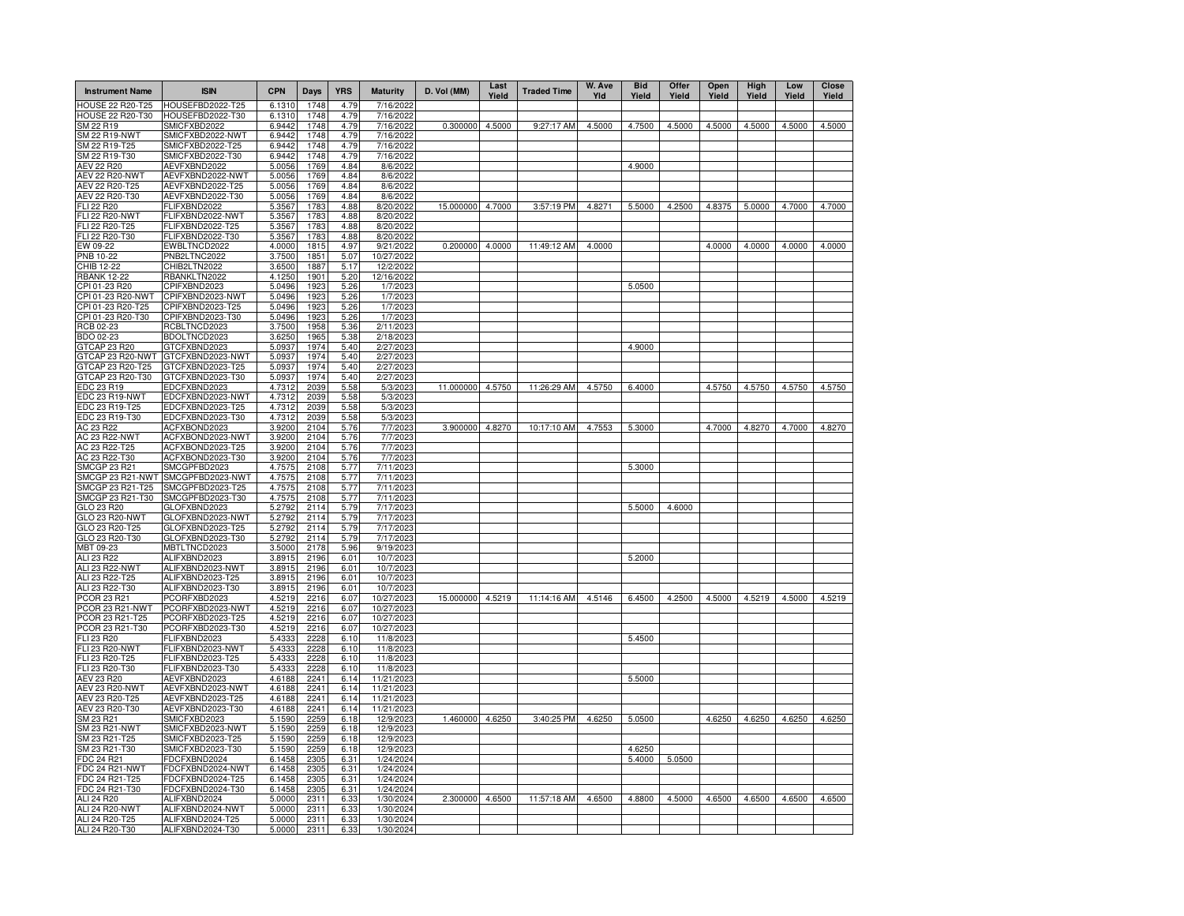| <b>Instrument Name</b>                | <b>ISIN</b>                          | <b>CPN</b>       | Days         | <b>YRS</b>   | <b>Maturity</b>        | D. Vol (MM)      | Last<br>Yield | <b>Traded Time</b> | W. Ave<br>Yld | <b>Bid</b><br>Yield | Offer<br>Yield | Open<br>Yield | High<br>Yield | Low<br>Yield | Close<br>Yield |
|---------------------------------------|--------------------------------------|------------------|--------------|--------------|------------------------|------------------|---------------|--------------------|---------------|---------------------|----------------|---------------|---------------|--------------|----------------|
| <b>HOUSE 22 R20-T25</b>               | HOUSEFBD2022-T25                     | 6.1310           | 1748         | 4.79         | 7/16/202               |                  |               |                    |               |                     |                |               |               |              |                |
| HOUSE 22 R20-T30                      | HOUSEFBD2022-T30                     | 6.1310           | 1748         | 4.79         | 7/16/2022              |                  |               |                    |               |                     |                |               |               |              |                |
| SM 22 R19                             | SMICFXBD2022                         | 6.9442           | 1748         | 4.79         | 7/16/2022              | 0.300000         | 4.5000        | 9:27:17 AM         | 4.5000        | 4.7500              | 4.5000         | 4.5000        | 4.5000        | 4.5000       | 4.5000         |
| <b>SM 22 R19-NWT</b><br>SM 22 R19-T25 | SMICFXBD2022-NWT<br>SMICFXBD2022-T25 | 6.9442<br>6.9442 | 1748<br>1748 | 4.79<br>4.79 | 7/16/2022<br>7/16/202  |                  |               |                    |               |                     |                |               |               |              |                |
| SM 22 R19-T30                         | SMICFXBD2022-T30                     | 6.9442           | 1748         | 4.79         | 7/16/2022              |                  |               |                    |               |                     |                |               |               |              |                |
| <b>AEV 22 R20</b>                     | AEVFXBND2022                         | 5.0056           | 1769         | 4.84         | 8/6/2022               |                  |               |                    |               | 4.9000              |                |               |               |              |                |
| <b>AEV 22 R20-NWT</b>                 | AEVFXBND2022-NWT                     | 5.0056           | 1769         | 4.84         | 8/6/2022               |                  |               |                    |               |                     |                |               |               |              |                |
| AEV 22 R20-T25                        | AEVFXBND2022-T25                     | 5.0056           | 1769         | 4.84         | 8/6/2022               |                  |               |                    |               |                     |                |               |               |              |                |
| AEV 22 R20-T30                        | AEVFXBND2022-T30                     | 5.0056           | 1769         | 4.84         | 8/6/2022               |                  |               |                    |               |                     |                |               |               |              |                |
| FLI 22 R20                            | FLIFXBND2022                         | 5.3567           | 1783         | 4.88         | 8/20/2022              | 15.000000 4.7000 |               | 3:57:19 PM         | 4.8271        | 5.5000              | 4.2500         | 4.8375        | 5.0000        | 4.7000       | 4.7000         |
| <b>FLI 22 R20-NWT</b>                 | FLIFXBND2022-NWT                     | 5.3567           | 1783         | 4.88         | 8/20/2022              |                  |               |                    |               |                     |                |               |               |              |                |
| FLI 22 R20-T25<br>FLI 22 R20-T30      | FLIFXBND2022-T25<br>FLIFXBND2022-T30 | 5.3567<br>5.3567 | 1783<br>1783 | 4.88<br>4.88 | 8/20/2022<br>8/20/2022 |                  |               |                    |               |                     |                |               |               |              |                |
| EW 09-22                              | EWBLTNCD2022                         | 4.0000           | 1815         | 4.97         | 9/21/2022              | 0.200000 4.0000  |               | 11:49:12 AM        | 4.0000        |                     |                | 4.0000        | 4.0000        | 4.0000       | 4.0000         |
| PNB 10-22                             | PNB2LTNC2022                         | 3.7500           | 1851         | 5.07         | 10/27/2022             |                  |               |                    |               |                     |                |               |               |              |                |
| CHIB 12-22                            | CHIB2LTN2022                         | 3.6500           | 1887         | 5.17         | 12/2/202               |                  |               |                    |               |                     |                |               |               |              |                |
| <b>RBANK 12-22</b>                    | RBANKLTN2022                         | 4.1250           | 1901         | 5.20         | 12/16/2022             |                  |               |                    |               |                     |                |               |               |              |                |
| CPI 01-23 R20                         | CPIFXBND2023                         | 5.0496           | 1923         | 5.26         | 1/7/2023               |                  |               |                    |               | 5.0500              |                |               |               |              |                |
| CPI 01-23 R20-NWT                     | CPIFXBND2023-NWT                     | 5.0496           | 1923         | 5.26         | 1/7/2023               |                  |               |                    |               |                     |                |               |               |              |                |
| CPI 01-23 R20-T25                     | CPIFXBND2023-T25                     | 5.0496           | 1923         | 5.26         | 1/7/2023               |                  |               |                    |               |                     |                |               |               |              |                |
| CPI 01-23 R20-T30                     | CPIFXBND2023-T30                     | 5.0496           | 1923         | 5.26         | 1/7/2023               |                  |               |                    |               |                     |                |               |               |              |                |
| RCB 02-23                             | RCBLTNCD2023                         | 3.7500           | 1958         | 5.36         | 2/11/2023              |                  |               |                    |               |                     |                |               |               |              |                |
| BDO 02-23<br>GTCAP 23 R20             | BDOLTNCD2023<br>GTCFXBND2023         | 3.6250<br>5.0937 | 1965<br>1974 | 5.38<br>5.40 | 2/18/2023<br>2/27/2023 |                  |               |                    |               | 4.9000              |                |               |               |              |                |
| GTCAP 23 R20-NWT                      | GTCFXBND2023-NWT                     | 5.0937           | 1974         | 5.40         | 2/27/202               |                  |               |                    |               |                     |                |               |               |              |                |
| GTCAP 23 R20-T25                      | GTCFXBND2023-T25                     | 5.0937           | 1974         | 5.40         | 2/27/2023              |                  |               |                    |               |                     |                |               |               |              |                |
| GTCAP 23 R20-T30                      | GTCFXBND2023-T30                     | 5.0937           | 1974         | 5.40         | 2/27/2023              |                  |               |                    |               |                     |                |               |               |              |                |
| EDC 23 R19                            | EDCFXBND2023                         | 4.7312           | 2039         | 5.58         | 5/3/2023               | 11.000000        | 4.5750        | 11:26:29 AM        | 4.5750        | 6.4000              |                | 4.5750        | 4.5750        | 4.5750       | 4.5750         |
| EDC 23 R19-NWT                        | EDCFXBND2023-NWT                     | 4.7312           | 2039         | 5.58         | 5/3/2023               |                  |               |                    |               |                     |                |               |               |              |                |
| EDC 23 R19-T25                        | EDCFXBND2023-T25                     | 4.7312           | 2039         | 5.58         | 5/3/2023               |                  |               |                    |               |                     |                |               |               |              |                |
| EDC 23 R19-T30                        | EDCFXBND2023-T30                     | 4.7312           | 2039         | 5.58         | 5/3/2023               |                  |               |                    |               |                     |                |               |               |              |                |
| AC 23 R22                             | ACFXBOND2023                         | 3.9200           | 2104         | 5.76         | 7/7/2023               | 3.900000         | 4.8270        | 10:17:10 AM        | 4.7553        | 5.3000              |                | 4.7000        | 4.8270        | 4.7000       | 4.8270         |
| <b>AC 23 R22-NWT</b><br>AC 23 R22-T25 | ACFXBOND2023-NWT<br>ACFXBOND2023-T25 | 3.9200<br>3.9200 | 2104<br>2104 | 5.76<br>5.76 | 7/7/2023<br>7/7/2023   |                  |               |                    |               |                     |                |               |               |              |                |
| AC 23 R22-T30                         | ACFXBOND2023-T30                     | 3.9200           | 2104         | 5.76         | 7/7/2023               |                  |               |                    |               |                     |                |               |               |              |                |
| SMCGP 23 R21                          | SMCGPFBD2023                         | 4.7575           | 2108         | 5.77         | 7/11/2023              |                  |               |                    |               | 5.3000              |                |               |               |              |                |
| SMCGP 23 R21-NWT                      | SMCGPFBD2023-NWT                     | 4.7575           | 2108         | 5.77         | 7/11/2023              |                  |               |                    |               |                     |                |               |               |              |                |
| SMCGP 23 R21-T25                      | SMCGPFBD2023-T25                     | 4.7575           | 2108         | 5.77         | 7/11/2023              |                  |               |                    |               |                     |                |               |               |              |                |
| SMCGP 23 R21-T30                      | SMCGPFBD2023-T30                     | 4.7575           | 2108         | 5.77         | 7/11/2023              |                  |               |                    |               |                     |                |               |               |              |                |
| GLO 23 R20                            | GLOFXBND2023                         | 5.2792           | 2114         | 5.79         | 7/17/2023              |                  |               |                    |               | 5.5000              | 4.6000         |               |               |              |                |
| GLO 23 R20-NWT                        | GLOFXBND2023-NWT                     | 5.2792           | 2114         | 5.79         | 7/17/2023              |                  |               |                    |               |                     |                |               |               |              |                |
| GLO 23 R20-T25                        | GLOFXBND2023-T25                     | 5.2792           | 2114         | 5.79         | 7/17/2023              |                  |               |                    |               |                     |                |               |               |              |                |
| GLO 23 R20-T30<br>MBT 09-23           | GLOFXBND2023-T30<br>MBTLTNCD2023     | 5.2792<br>3.5000 | 2114<br>2178 | 5.79<br>5.96 | 7/17/2023<br>9/19/2023 |                  |               |                    |               |                     |                |               |               |              |                |
| ALI 23 R22                            | ALIFXBND2023                         | 3.8915           | 2196         | 6.01         | 10/7/2023              |                  |               |                    |               | 5.2000              |                |               |               |              |                |
| ALI 23 R22-NWT                        | ALIFXBND2023-NWT                     | 3.8915           | 2196         | 6.01         | 10/7/2023              |                  |               |                    |               |                     |                |               |               |              |                |
| ALI 23 R22-T25                        | ALIFXBND2023-T25                     | 3.8915           | 2196         | 6.01         | 10/7/2023              |                  |               |                    |               |                     |                |               |               |              |                |
| ALI 23 R22-T30                        | ALIFXBND2023-T30                     | 3.8915           | 2196         | 6.01         | 10/7/2023              |                  |               |                    |               |                     |                |               |               |              |                |
| PCOR 23 R21                           | PCORFXBD2023                         | 4.5219           | 2216         | 6.07         | 10/27/2023             | 15.000000        | 4.5219        | 11:14:16 AM        | 4.5146        | 6.4500              | 4.2500         | 4.5000        | 4.5219        | 4.5000       | 4.5219         |
| PCOR 23 R21-NWT                       | PCORFXBD2023-NWT                     | 4.5219           | 2216         | 6.07         | 10/27/2023             |                  |               |                    |               |                     |                |               |               |              |                |
| PCOR 23 R21-T25                       | PCORFXBD2023-T25                     | 4.5219           | 2216         | 6.07         | 10/27/2023             |                  |               |                    |               |                     |                |               |               |              |                |
| PCOR 23 R21-T30                       | PCORFXBD2023-T30                     | 4.5219           | 2216         | 6.07         | 10/27/2023             |                  |               |                    |               |                     |                |               |               |              |                |
| FLI 23 R20                            | FLIFXBND2023                         | 5.4333           | 2228         | 6.10         | 11/8/2023              |                  |               |                    |               | 5.4500              |                |               |               |              |                |
| FLI 23 R20-NWT<br>FLI 23 R20-T25      | FLIFXBND2023-NWT<br>FLIFXBND2023-T25 | 5.4333<br>5.4333 | 2228<br>2228 | 6.10<br>6.10 | 11/8/202<br>11/8/202   |                  |               |                    |               |                     |                |               |               |              |                |
| FLI 23 R20-T30                        | FLIFXBND2023-T30                     | 5.4333           | 2228         | 6.10         | 11/8/202               |                  |               |                    |               |                     |                |               |               |              |                |
| AEV 23 R20                            | AEVFXBND2023                         | 4.6188           | 2241         | 6.14         | 11/21/202              |                  |               |                    |               | 5.5000              |                |               |               |              |                |
| <b>AEV 23 R20-NWT</b>                 | AEVFXBND2023-NWT                     | 4.6188           | 2241         | 6.14         | 11/21/202              |                  |               |                    |               |                     |                |               |               |              |                |
| AEV 23 R20-T25                        | AEVFXBND2023-T25                     | 4.6188           | 2241         | 6.14         | 11/21/202              |                  |               |                    |               |                     |                |               |               |              |                |
| AEV 23 R20-T30                        | AEVFXBND2023-T30                     | 4.6188           | 2241         | 6.14         | 11/21/202              |                  |               |                    |               |                     |                |               |               |              |                |
| SM 23 R21                             | SMICFXBD2023                         | 5.1590           | 2259         | 6.18         | 12/9/202               | 1.460000 4.6250  |               | 3:40:25 PM         | 4.6250        | 5.0500              |                | 4.6250        | 4.6250        | 4.6250       | 4.6250         |
| SM 23 R21-NWT                         | SMICFXBD2023-NWT                     | 5.1590           | 2259         | 6.18         | 12/9/202               |                  |               |                    |               |                     |                |               |               |              |                |
| SM 23 R21-T25                         | SMICFXBD2023-T25                     | 5.1590           | 2259         | 6.18         | 12/9/202               |                  |               |                    |               |                     |                |               |               |              |                |
| SM 23 R21-T30<br>FDC 24 R21           | SMICFXBD2023-T30<br>FDCFXBND2024     | 5.1590<br>6.1458 | 2259<br>2305 | 6.18         | 12/9/202<br>1/24/2024  |                  |               |                    |               | 4.6250<br>5.4000    | 5.0500         |               |               |              |                |
| <b>FDC 24 R21-NWT</b>                 | FDCFXBND2024-NWT                     | 6.1458           | 2305         | 6.31<br>6.31 | 1/24/2024              |                  |               |                    |               |                     |                |               |               |              |                |
| FDC 24 R21-T25                        | FDCFXBND2024-T25                     | 6.1458           | 2305         | 6.31         | 1/24/2024              |                  |               |                    |               |                     |                |               |               |              |                |
| FDC 24 R21-T30                        | FDCFXBND2024-T30                     | 6.1458           | 2305         | 6.31         | 1/24/2024              |                  |               |                    |               |                     |                |               |               |              |                |
| ALI 24 R20                            | ALIFXBND2024                         | 5.0000           | 2311         | 6.33         | 1/30/2024              | 2.300000 4.6500  |               | 11:57:18 AM        | 4.6500        | 4.8800              | 4.5000         | 4.6500        | 4.6500        | 4.6500       | 4.6500         |
| ALI 24 R20-NWT                        | ALIFXBND2024-NWT                     | 5.0000           | 2311         | 6.33         | 1/30/2024              |                  |               |                    |               |                     |                |               |               |              |                |
| ALI 24 R20-T25                        | ALIFXBND2024-T25                     | 5.0000           | 2311         | 6.33         | 1/30/2024              |                  |               |                    |               |                     |                |               |               |              |                |
| ALI 24 R20-T30                        | ALIFXBND2024-T30                     | 5.0000           | 2311         | 6.33         | 1/30/2024              |                  |               |                    |               |                     |                |               |               |              |                |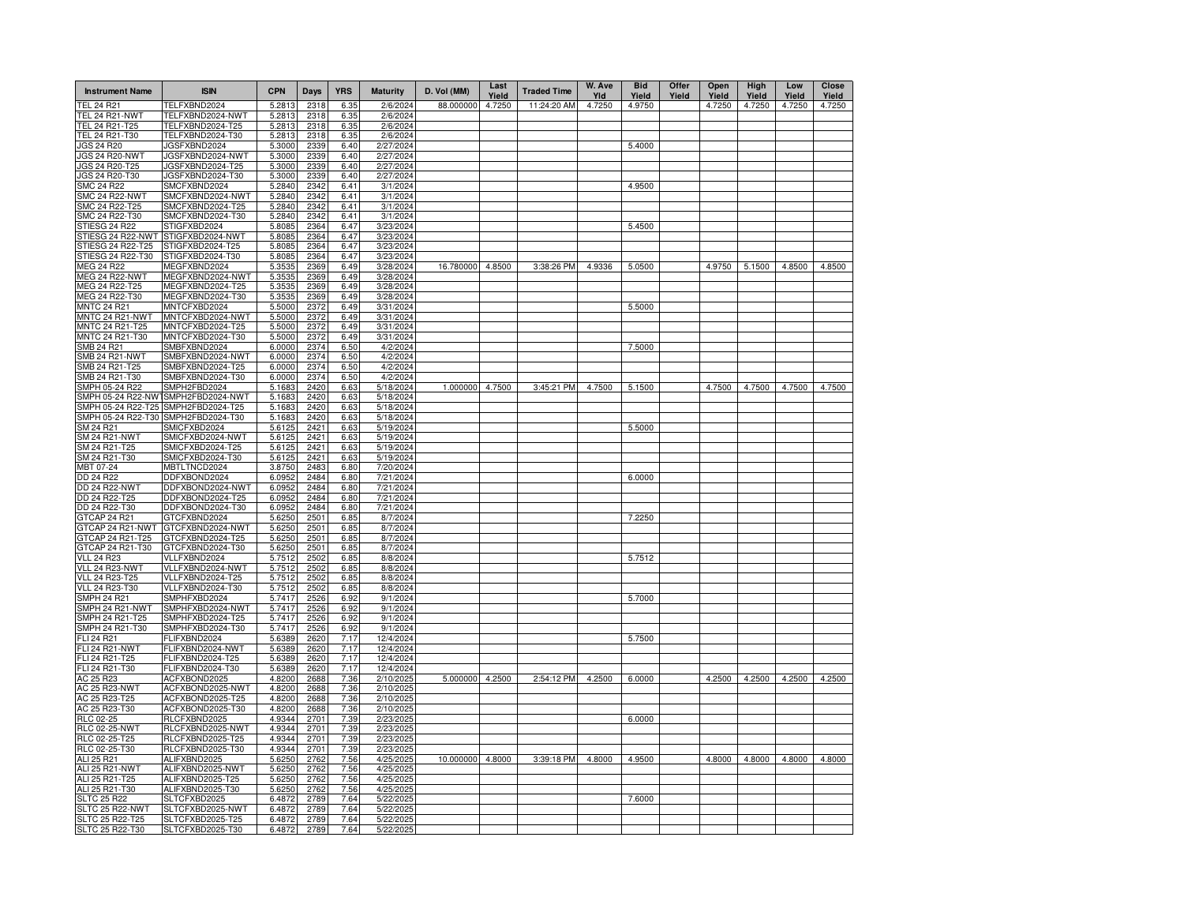| <b>Instrument Name</b>                     | <b>ISIN</b>                      | <b>CPN</b>       | Days         | <b>YRS</b>   | <b>Maturity</b>        | D. Vol (MM)      | Last<br>Yield | <b>Traded Time</b> | W. Ave<br>Yld | <b>Bid</b><br>Yield | Offer<br>Yield | Open<br>Yield | High<br>Yield | Low<br>Yield | Close<br>Yield |
|--------------------------------------------|----------------------------------|------------------|--------------|--------------|------------------------|------------------|---------------|--------------------|---------------|---------------------|----------------|---------------|---------------|--------------|----------------|
| TEL 24 R21                                 | TELFXBND2024                     | 5.2813           | 2318         | 6.35         | 2/6/2024               | 88.000000        | 4.7250        | 11:24:20 AM        | 4.7250        | 4.9750              |                | 4.7250        | 4.7250        | 4.7250       | 4.7250         |
| TEL 24 R21-NWT                             | TELFXBND2024-NWT                 | 5.2813           | 2318         | 6.35         | 2/6/2024               |                  |               |                    |               |                     |                |               |               |              |                |
| TEL 24 R21-T25                             | TELFXBND2024-T25                 | 5.2813           | 2318         | 6.35         | 2/6/2024               |                  |               |                    |               |                     |                |               |               |              |                |
| TEL 24 R21-T30<br>JGS 24 R20               | TELFXBND2024-T30<br>JGSFXBND2024 | 5.2813<br>5.3000 | 2318<br>2339 | 6.35<br>6.40 | 2/6/2024<br>2/27/2024  |                  |               |                    |               | 5.4000              |                |               |               |              |                |
| <b>JGS 24 R20-NWT</b>                      | JGSFXBND2024-NWT                 | 5.3000           | 2339         | 6.40         | 2/27/2024              |                  |               |                    |               |                     |                |               |               |              |                |
| JGS 24 R20-T25                             | JGSFXBND2024-T25                 | 5.3000           | 2339         | 6.40         | 2/27/2024              |                  |               |                    |               |                     |                |               |               |              |                |
| JGS 24 R20-T30                             | JGSFXBND2024-T30                 | 5.3000           | 2339         | 6.40         | 2/27/2024              |                  |               |                    |               |                     |                |               |               |              |                |
| <b>SMC 24 R22</b>                          | SMCFXBND2024                     | 5.2840           | 2342         | 6.41         | 3/1/2024               |                  |               |                    |               | 4.9500              |                |               |               |              |                |
| <b>SMC 24 R22-NWT</b>                      | SMCFXBND2024-NWT                 | 5.2840           | 2342         | 6.41         | 3/1/2024               |                  |               |                    |               |                     |                |               |               |              |                |
| SMC 24 R22-T25                             | SMCFXBND2024-T25                 | 5.2840           | 2342         | 6.41         | 3/1/2024               |                  |               |                    |               |                     |                |               |               |              |                |
| SMC 24 R22-T30                             | SMCFXBND2024-T30                 | 5.2840           | 2342         | 6.41         | 3/1/2024               |                  |               |                    |               |                     |                |               |               |              |                |
| STIESG 24 R22                              | STIGFXBD2024                     | 5.8085           | 2364         | 6.47         | 3/23/2024              |                  |               |                    |               | 5.4500              |                |               |               |              |                |
| STIESG 24 R22-NWT                          | STIGFXBD2024-NWT                 | 5.8085           | 2364         | 6.47         | 3/23/2024              |                  |               |                    |               |                     |                |               |               |              |                |
| STIESG 24 R22-T25                          | STIGFXBD2024-T25                 | 5.8085           | 2364         | 6.47         | 3/23/2024              |                  |               |                    |               |                     |                |               |               |              |                |
| STIESG 24 R22-T30                          | STIGFXBD2024-T30                 | 5.8085           | 2364         | 6.47         | 3/23/2024              | 16.780000 4.8500 |               | 3:38:26 PM         | 4.9336        | 5.0500              |                | 4.9750        | 5.1500        | 4.8500       | 4.8500         |
| <b>MEG 24 R22</b><br><b>MEG 24 R22-NWT</b> | MEGFXBND2024<br>MEGFXBND2024-NWT | 5.3535<br>5.3535 | 2369<br>2369 | 6.49<br>6.49 | 3/28/2024<br>3/28/2024 |                  |               |                    |               |                     |                |               |               |              |                |
| MEG 24 R22-T25                             | MEGFXBND2024-T25                 | 5.3535           | 2369         | 6.49         | 3/28/2024              |                  |               |                    |               |                     |                |               |               |              |                |
| MEG 24 R22-T30                             | MEGFXBND2024-T30                 | 5.3535           | 2369         | 6.49         | 3/28/2024              |                  |               |                    |               |                     |                |               |               |              |                |
| <b>MNTC 24 R21</b>                         | MNTCFXBD2024                     | 5.5000           | 2372         | 6.49         | 3/31/2024              |                  |               |                    |               | 5.5000              |                |               |               |              |                |
| MNTC 24 R21-NWT                            | MNTCFXBD2024-NWT                 | 5.5000           | 2372         | 6.49         | 3/31/2024              |                  |               |                    |               |                     |                |               |               |              |                |
| MNTC 24 R21-T25                            | MNTCFXBD2024-T25                 | 5.5000           | 2372         | 6.49         | 3/31/2024              |                  |               |                    |               |                     |                |               |               |              |                |
| MNTC 24 R21-T30                            | MNTCFXBD2024-T30                 | 5.5000           | 2372         | 6.49         | 3/31/2024              |                  |               |                    |               |                     |                |               |               |              |                |
| SMB 24 R21                                 | SMBFXBND2024                     | 6.0000           | 2374         | 6.50         | 4/2/2024               |                  |               |                    |               | 7.5000              |                |               |               |              |                |
| SMB 24 R21-NWT                             | SMBFXBND2024-NWT                 | 6.0000           | 2374         | 6.50         | 4/2/2024               |                  |               |                    |               |                     |                |               |               |              |                |
| SMB 24 R21-T25                             | SMBFXBND2024-T25                 | 6.0000           | 2374         | 6.50         | 4/2/2024               |                  |               |                    |               |                     |                |               |               |              |                |
| SMB 24 R21-T30                             | SMBFXBND2024-T30                 | 6.0000           | 2374         | 6.50         | 4/2/2024               |                  |               |                    |               |                     |                |               |               |              |                |
| SMPH 05-24 R22                             | SMPH2FBD2024                     | 5.1683           | 2420         | 6.63         | 5/18/2024              | 1.000000 4.7500  |               | 3:45:21 PM         | 4.7500        | 5.1500              |                | 4.7500        | 4.7500        | 4.7500       | 4.7500         |
| SMPH 05-24 R22-NW                          | SMPH2FBD2024-NWT                 | 5.1683           | 2420         | 6.63         | 5/18/2024              |                  |               |                    |               |                     |                |               |               |              |                |
| SMPH 05-24 R22-T25                         | SMPH2FBD2024-T25                 | 5.1683           | 2420         | 6.63         | 5/18/2024              |                  |               |                    |               |                     |                |               |               |              |                |
| SMPH 05-24 R22-T30<br>SM 24 R21            | SMPH2FBD2024-T30<br>SMICFXBD2024 | 5.1683<br>5.6125 | 2420<br>2421 | 6.63<br>6.63 | 5/18/2024<br>5/19/2024 |                  |               |                    |               | 5.5000              |                |               |               |              |                |
| SM 24 R21-NWT                              | SMICFXBD2024-NWT                 | 5.6125           | 2421         | 6.63         | 5/19/2024              |                  |               |                    |               |                     |                |               |               |              |                |
| SM 24 R21-T25                              | SMICFXBD2024-T25                 | 5.6125           | 2421         | 6.63         | 5/19/2024              |                  |               |                    |               |                     |                |               |               |              |                |
| SM 24 R21-T30                              | SMICFXBD2024-T30                 | 5.6125           | 2421         | 6.63         | 5/19/2024              |                  |               |                    |               |                     |                |               |               |              |                |
| MBT 07-24                                  | MBTLTNCD2024                     | 3.8750           | 2483         | 6.80         | 7/20/2024              |                  |               |                    |               |                     |                |               |               |              |                |
| DD 24 R22                                  | DDFXBOND2024                     | 6.0952           | 2484         | 6.80         | 7/21/2024              |                  |               |                    |               | 6.0000              |                |               |               |              |                |
| DD 24 R22-NWT                              | DDFXBOND2024-NWT                 | 6.0952           | 2484         | 6.80         | 7/21/2024              |                  |               |                    |               |                     |                |               |               |              |                |
| DD 24 R22-T25                              | DDFXBOND2024-T25                 | 6.0952           | 2484         | 6.80         | 7/21/2024              |                  |               |                    |               |                     |                |               |               |              |                |
| DD 24 R22-T30                              | DDFXBOND2024-T30                 | 6.0952           | 2484         | 6.80         | 7/21/2024              |                  |               |                    |               |                     |                |               |               |              |                |
| GTCAP 24 R21                               | GTCFXBND2024                     | 5.6250           | 2501         | 6.85         | 8/7/2024               |                  |               |                    |               | 7.2250              |                |               |               |              |                |
| GTCAP 24 R21-NWT                           | GTCFXBND2024-NWT                 | 5.6250           | 2501         | 6.85         | 8/7/2024               |                  |               |                    |               |                     |                |               |               |              |                |
| GTCAP 24 R21-T25                           | GTCFXBND2024-T25                 | 5.6250           | 2501         | 6.85         | 8/7/2024               |                  |               |                    |               |                     |                |               |               |              |                |
| GTCAP 24 R21-T30                           | GTCFXBND2024-T30                 | 5.6250           | 2501         | 6.85         | 8/7/2024               |                  |               |                    |               |                     |                |               |               |              |                |
| <b>VLL 24 R23</b><br>VLL 24 R23-NWT        | VLLFXBND2024<br>VLLFXBND2024-NWT | 5.7512<br>5.7512 | 2502<br>2502 | 6.85<br>6.85 | 8/8/2024<br>8/8/2024   |                  |               |                    |               | 5.7512              |                |               |               |              |                |
| <b>VLL 24 R23-T25</b>                      | VLLFXBND2024-T25                 | 5.7512           | 2502         | 6.85         | 8/8/2024               |                  |               |                    |               |                     |                |               |               |              |                |
| <b>VLL 24 R23-T30</b>                      | VLLFXBND2024-T30                 | 5.7512           | 2502         | 6.85         | 8/8/2024               |                  |               |                    |               |                     |                |               |               |              |                |
| <b>SMPH 24 R21</b>                         | SMPHFXBD2024                     | 5.7417           | 2526         | 6.92         | 9/1/2024               |                  |               |                    |               | 5.7000              |                |               |               |              |                |
| SMPH 24 R21-NWT                            | SMPHFXBD2024-NWT                 | 5.7417           | 2526         | 6.92         | 9/1/2024               |                  |               |                    |               |                     |                |               |               |              |                |
| SMPH 24 R21-T25                            | SMPHFXBD2024-T25                 | 5.7417           | 2526         | 6.92         | 9/1/2024               |                  |               |                    |               |                     |                |               |               |              |                |
| SMPH 24 R21-T30                            | SMPHFXBD2024-T30                 | 5.7417           | 2526         | 6.92         | 9/1/2024               |                  |               |                    |               |                     |                |               |               |              |                |
| <b>FLI 24 R21</b>                          | FLIFXBND2024                     | 5.6389           | 2620         | 7.17         | 12/4/2024              |                  |               |                    |               | 5.7500              |                |               |               |              |                |
| <b>FLI 24 R21-NWT</b>                      | FLIFXBND2024-NWT                 | 5.6389           | 2620         | 7.17         | 12/4/2024              |                  |               |                    |               |                     |                |               |               |              |                |
| FLI 24 R21-T25                             | FLIFXBND2024-T25                 | 5.6389           | 2620         | 7.17         | 12/4/2024              |                  |               |                    |               |                     |                |               |               |              |                |
| FLI 24 R21-T30                             | FLIFXBND2024-T30                 | 5.6389           | 2620         | 7.17         | 12/4/2024              |                  |               |                    |               |                     |                |               |               |              |                |
| AC 25 R23<br><b>AC 25 R23-NWT</b>          | ACFXBOND2025<br>ACFXBOND2025-NWT | 4.8200<br>4.8200 | 2688<br>2688 | 7.36<br>7.36 | 2/10/2025<br>2/10/2025 | 5.000000 4.2500  |               | 2:54:12 PM         | 4.2500        | 6.0000              |                | 4.2500        | 4.2500        | 4.2500       | 4.2500         |
| AC 25 R23-T25                              | ACFXBOND2025-T25                 | 4.8200           | 2688         | 7.36         | 2/10/2025              |                  |               |                    |               |                     |                |               |               |              |                |
| AC 25 R23-T30                              | ACFXBOND2025-T30                 | 4.8200           | 2688         | 7.36         | 2/10/2025              |                  |               |                    |               |                     |                |               |               |              |                |
| RLC 02-25                                  | RLCFXBND2025                     | 4.9344           | 2701         | 7.39         | 2/23/2025              |                  |               |                    |               | 6.0000              |                |               |               |              |                |
| <b>RLC 02-25-NWT</b>                       | RLCFXBND2025-NWT                 | 4.9344           | 2701         | 7.39         | 2/23/2025              |                  |               |                    |               |                     |                |               |               |              |                |
| RLC 02-25-T25                              | RLCFXBND2025-T25                 | 4.9344           | 2701         | 7.39         | 2/23/2025              |                  |               |                    |               |                     |                |               |               |              |                |
| RLC 02-25-T30                              | RLCFXBND2025-T30                 | 4.9344           | 2701         | 7.39         | 2/23/2025              |                  |               |                    |               |                     |                |               |               |              |                |
| ALI 25 R21                                 | ALIFXBND2025                     | 5.6250           | 2762         | 7.56         | 4/25/2025              | 10.000000        | 4.8000        | 3:39:18 PM         | 4.8000        | 4.9500              |                | 4.8000        | 4.8000        | 4.8000       | 4.8000         |
| <b>ALI 25 R21-NWT</b>                      | ALIFXBND2025-NWT                 | 5.6250           | 2762         | 7.56         | 4/25/2025              |                  |               |                    |               |                     |                |               |               |              |                |
| ALI 25 R21-T25                             | ALIFXBND2025-T25                 | 5.6250           | 2762         | 7.56         | 4/25/2025              |                  |               |                    |               |                     |                |               |               |              |                |
| ALI 25 R21-T30                             | ALIFXBND2025-T30                 | 5.6250           | 2762         | 7.56         | 4/25/202               |                  |               |                    |               |                     |                |               |               |              |                |
| <b>SLTC 25 R22</b>                         | SLTCFXBD2025                     | 6.4872           | 2789         | 7.64         | 5/22/202               |                  |               |                    |               | 7.6000              |                |               |               |              |                |
| SLTC 25 R22-NWT                            | SLTCFXBD2025-NWT                 | 6.4872           | 2789         | 7.64         | 5/22/202               |                  |               |                    |               |                     |                |               |               |              |                |
| SLTC 25 R22-T25                            | SLTCFXBD2025-T25                 | 6.4872           | 2789         | 7.64         | 5/22/2025              |                  |               |                    |               |                     |                |               |               |              |                |
| SLTC 25 R22-T30                            | SLTCFXBD2025-T30                 | 6.4872           | 2789         | 7.64         | 5/22/2025              |                  |               |                    |               |                     |                |               |               |              |                |